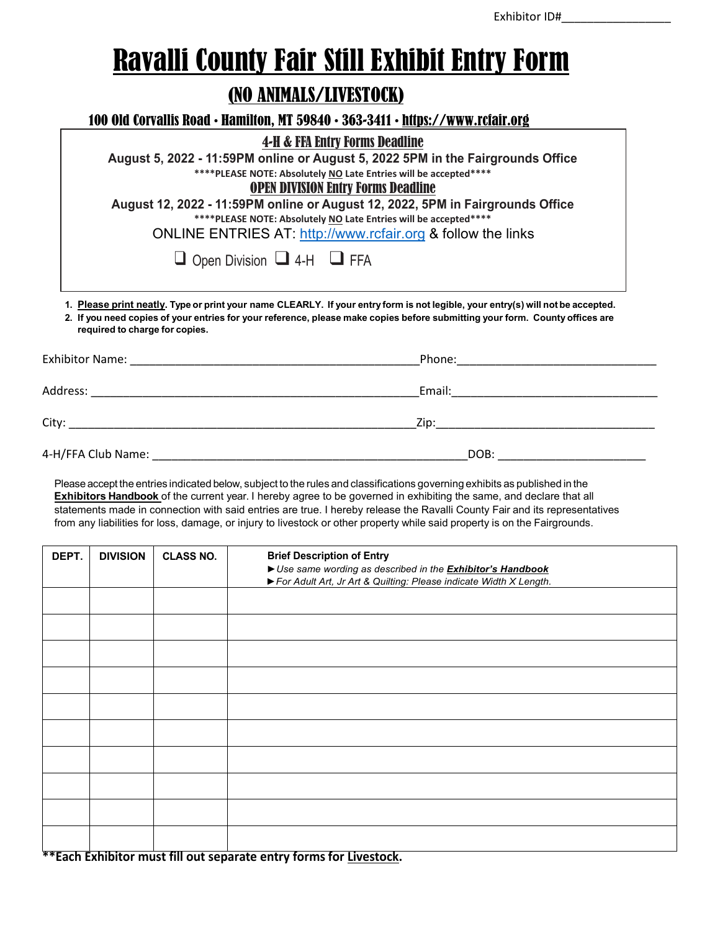## Ravalli County Fair Still Exhibit Entry Form

## (NO ANIMALS/LIVESTOCK)

100 Old Corvallis Road • Hamilton, MT 59840 • 363-3411 • https://www.rcfair.org

|                                            | <b>4-H &amp; FFA Entry Forms Deadline</b><br>August 5, 2022 - 11:59PM online or August 5, 2022 5PM in the Fairgrounds Office<br>**** PLEASE NOTE: Absolutely NO Late Entries will be accepted****<br><b>OPEN DIVISION Entry Forms Deadline</b><br>August 12, 2022 - 11:59PM online or August 12, 2022, 5PM in Fairgrounds Office<br>**** PLEASE NOTE: Absolutely NO Late Entries will be accepted****<br>ONLINE ENTRIES AT: http://www.rcfair.org & follow the links |  |  |  |  |
|--------------------------------------------|----------------------------------------------------------------------------------------------------------------------------------------------------------------------------------------------------------------------------------------------------------------------------------------------------------------------------------------------------------------------------------------------------------------------------------------------------------------------|--|--|--|--|
| $\Box$ Open Division $\Box$ 4-H $\Box$ FFA |                                                                                                                                                                                                                                                                                                                                                                                                                                                                      |  |  |  |  |
| required to charge for copies.             | 1. Please print neatly. Type or print your name CLEARLY. If your entry form is not legible, your entry(s) will not be accepted.<br>2. If you need copies of your entries for your reference, please make copies before submitting your form. County offices are                                                                                                                                                                                                      |  |  |  |  |
| Exhibitor Name:                            | Phone:                                                                                                                                                                                                                                                                                                                                                                                                                                                               |  |  |  |  |
| Address:                                   | Email:                                                                                                                                                                                                                                                                                                                                                                                                                                                               |  |  |  |  |

| . .<br>. . |  |
|------------|--|

City: \_\_\_\_\_\_\_\_\_\_\_\_\_\_\_\_\_\_\_\_\_\_\_\_\_\_\_\_\_\_\_\_\_\_\_\_\_\_\_\_\_\_\_\_\_\_\_\_\_\_\_\_\_\_Zip:\_\_\_\_\_\_\_\_\_\_\_\_\_\_\_\_\_\_\_\_\_\_\_\_\_\_\_\_\_\_\_\_\_\_

4-H/FFA Club Name: \_\_\_\_\_\_\_\_\_\_\_\_\_\_\_\_\_\_\_\_\_\_\_\_\_\_\_\_\_\_\_\_\_\_\_\_\_\_\_\_\_\_\_\_\_\_\_\_\_DOB: \_\_\_\_\_\_\_\_\_\_\_\_\_\_\_\_\_\_\_\_\_\_\_

Please accept the entries indicated below, subject to the rules and classifications governing exhibits as published in the **Exhibitors Handbook** of the current year. I hereby agree to be governed in exhibiting the same, and declare that all statements made in connection with said entries are true. I hereby release the Ravalli County Fair and its representatives from any liabilities for loss, damage, or injury to livestock or other property while said property is on the Fairgrounds.

| DEPT. | <b>DIVISION</b> | <b>CLASS NO.</b> | <b>Brief Description of Entry</b><br>Use same wording as described in the <b>Exhibitor's Handbook</b><br>For Adult Art, Jr Art & Quilting: Please indicate Width X Length. |
|-------|-----------------|------------------|----------------------------------------------------------------------------------------------------------------------------------------------------------------------------|
|       |                 |                  |                                                                                                                                                                            |
|       |                 |                  |                                                                                                                                                                            |
|       |                 |                  |                                                                                                                                                                            |
|       |                 |                  |                                                                                                                                                                            |
|       |                 |                  |                                                                                                                                                                            |
|       |                 |                  |                                                                                                                                                                            |
|       |                 |                  |                                                                                                                                                                            |
|       |                 |                  |                                                                                                                                                                            |
|       |                 |                  |                                                                                                                                                                            |
|       |                 |                  |                                                                                                                                                                            |

**\*\*Each Exhibitor must fill out separate entry forms for Livestock.**